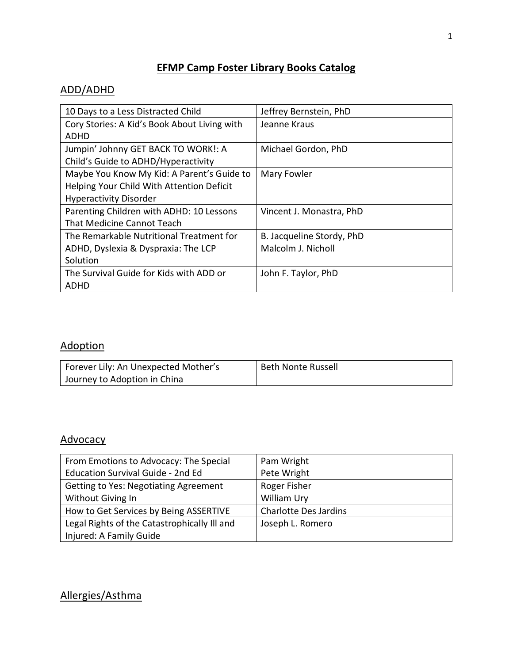#### **EFMP Camp Foster Library Books Catalog**

#### ADD/ADHD

| 10 Days to a Less Distracted Child           | Jeffrey Bernstein, PhD    |
|----------------------------------------------|---------------------------|
| Cory Stories: A Kid's Book About Living with | Jeanne Kraus              |
| ADHD                                         |                           |
| Jumpin' Johnny GET BACK TO WORK!: A          | Michael Gordon, PhD       |
| Child's Guide to ADHD/Hyperactivity          |                           |
| Maybe You Know My Kid: A Parent's Guide to   | Mary Fowler               |
| Helping Your Child With Attention Deficit    |                           |
| <b>Hyperactivity Disorder</b>                |                           |
| Parenting Children with ADHD: 10 Lessons     | Vincent J. Monastra, PhD  |
| That Medicine Cannot Teach                   |                           |
| The Remarkable Nutritional Treatment for     | B. Jacqueline Stordy, PhD |
| ADHD, Dyslexia & Dyspraxia: The LCP          | Malcolm J. Nicholl        |
| Solution                                     |                           |
| The Survival Guide for Kids with ADD or      | John F. Taylor, PhD       |
| ADHD                                         |                           |

## Adoption

| Forever Lily: An Unexpected Mother's | <b>Beth Nonte Russell</b> |
|--------------------------------------|---------------------------|
| Journey to Adoption in China         |                           |

#### **Advocacy**

| From Emotions to Advocacy: The Special       | Pam Wright                   |
|----------------------------------------------|------------------------------|
| <b>Education Survival Guide - 2nd Ed</b>     | Pete Wright                  |
| <b>Getting to Yes: Negotiating Agreement</b> | Roger Fisher                 |
| Without Giving In                            | William Ury                  |
| How to Get Services by Being ASSERTIVE       | <b>Charlotte Des Jardins</b> |
| Legal Rights of the Catastrophically III and | Joseph L. Romero             |
| Injured: A Family Guide                      |                              |

## Allergies/Asthma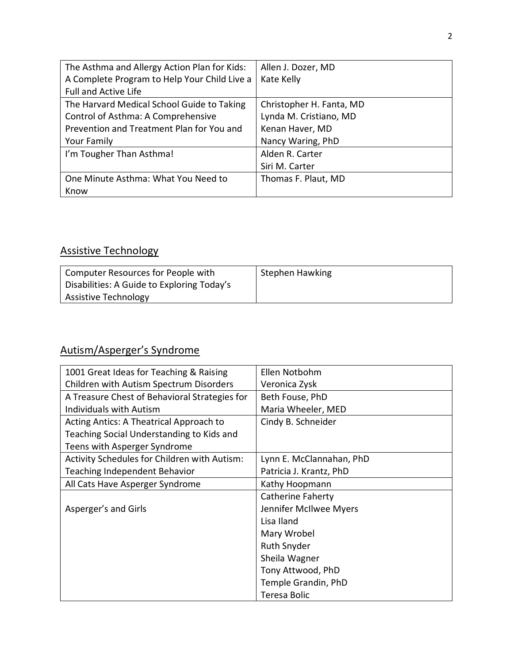| The Asthma and Allergy Action Plan for Kids: | Allen J. Dozer, MD       |
|----------------------------------------------|--------------------------|
| A Complete Program to Help Your Child Live a | Kate Kelly               |
| <b>Full and Active Life</b>                  |                          |
| The Harvard Medical School Guide to Taking   | Christopher H. Fanta, MD |
| Control of Asthma: A Comprehensive           | Lynda M. Cristiano, MD   |
| Prevention and Treatment Plan for You and    | Kenan Haver, MD          |
| Your Family                                  | Nancy Waring, PhD        |
| I'm Tougher Than Asthma!                     | Alden R. Carter          |
|                                              | Siri M. Carter           |
| One Minute Asthma: What You Need to          | Thomas F. Plaut, MD      |
| Know                                         |                          |

## Assistive Technology

| Computer Resources for People with         | Stephen Hawking |
|--------------------------------------------|-----------------|
| Disabilities: A Guide to Exploring Today's |                 |
| Assistive Technology                       |                 |

## Autism/Asperger's Syndrome

| 1001 Great Ideas for Teaching & Raising       | Ellen Notbohm            |
|-----------------------------------------------|--------------------------|
| Children with Autism Spectrum Disorders       | Veronica Zysk            |
| A Treasure Chest of Behavioral Strategies for | Beth Fouse, PhD          |
| Individuals with Autism                       | Maria Wheeler, MED       |
| Acting Antics: A Theatrical Approach to       | Cindy B. Schneider       |
| Teaching Social Understanding to Kids and     |                          |
| Teens with Asperger Syndrome                  |                          |
| Activity Schedules for Children with Autism:  | Lynn E. McClannahan, PhD |
| <b>Teaching Independent Behavior</b>          | Patricia J. Krantz, PhD  |
| All Cats Have Asperger Syndrome               | Kathy Hoopmann           |
|                                               | Catherine Faherty        |
| Asperger's and Girls                          | Jennifer McIlwee Myers   |
|                                               | Lisa Iland               |
|                                               | Mary Wrobel              |
|                                               | <b>Ruth Snyder</b>       |
|                                               | Sheila Wagner            |
|                                               | Tony Attwood, PhD        |
|                                               | Temple Grandin, PhD      |
|                                               | Teresa Bolic             |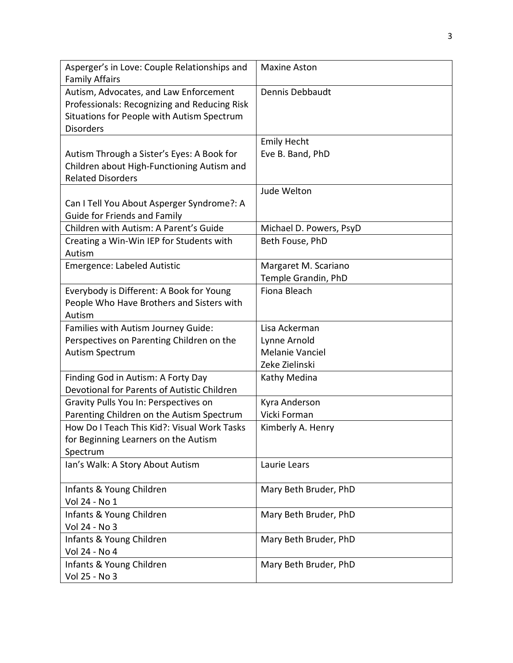| Asperger's in Love: Couple Relationships and<br><b>Family Affairs</b>                                                                                    | <b>Maxine Aston</b>     |
|----------------------------------------------------------------------------------------------------------------------------------------------------------|-------------------------|
| Autism, Advocates, and Law Enforcement<br>Professionals: Recognizing and Reducing Risk<br>Situations for People with Autism Spectrum<br><b>Disorders</b> | Dennis Debbaudt         |
|                                                                                                                                                          | <b>Emily Hecht</b>      |
| Autism Through a Sister's Eyes: A Book for<br>Children about High-Functioning Autism and<br><b>Related Disorders</b>                                     | Eve B. Band, PhD        |
|                                                                                                                                                          | Jude Welton             |
| Can I Tell You About Asperger Syndrome?: A<br>Guide for Friends and Family                                                                               |                         |
| Children with Autism: A Parent's Guide                                                                                                                   | Michael D. Powers, PsyD |
| Creating a Win-Win IEP for Students with<br>Autism                                                                                                       | Beth Fouse, PhD         |
| Emergence: Labeled Autistic                                                                                                                              | Margaret M. Scariano    |
|                                                                                                                                                          | Temple Grandin, PhD     |
| Everybody is Different: A Book for Young<br>People Who Have Brothers and Sisters with<br>Autism                                                          | Fiona Bleach            |
| Families with Autism Journey Guide:                                                                                                                      | Lisa Ackerman           |
| Perspectives on Parenting Children on the                                                                                                                | Lynne Arnold            |
| Autism Spectrum                                                                                                                                          | Melanie Vanciel         |
|                                                                                                                                                          | Zeke Zielinski          |
| Finding God in Autism: A Forty Day                                                                                                                       | Kathy Medina            |
| Devotional for Parents of Autistic Children                                                                                                              |                         |
| Gravity Pulls You In: Perspectives on                                                                                                                    | Kyra Anderson           |
| Parenting Children on the Autism Spectrum                                                                                                                | Vicki Forman            |
| How Do I Teach This Kid?: Visual Work Tasks                                                                                                              | Kimberly A. Henry       |
| for Beginning Learners on the Autism                                                                                                                     |                         |
| Spectrum                                                                                                                                                 |                         |
| Ian's Walk: A Story About Autism                                                                                                                         | Laurie Lears            |
| Infants & Young Children                                                                                                                                 | Mary Beth Bruder, PhD   |
| Vol 24 - No 1                                                                                                                                            |                         |
| Infants & Young Children                                                                                                                                 | Mary Beth Bruder, PhD   |
| Vol 24 - No 3                                                                                                                                            |                         |
| Infants & Young Children                                                                                                                                 | Mary Beth Bruder, PhD   |
| Vol 24 - No 4                                                                                                                                            |                         |
| Infants & Young Children                                                                                                                                 | Mary Beth Bruder, PhD   |
| Vol 25 - No 3                                                                                                                                            |                         |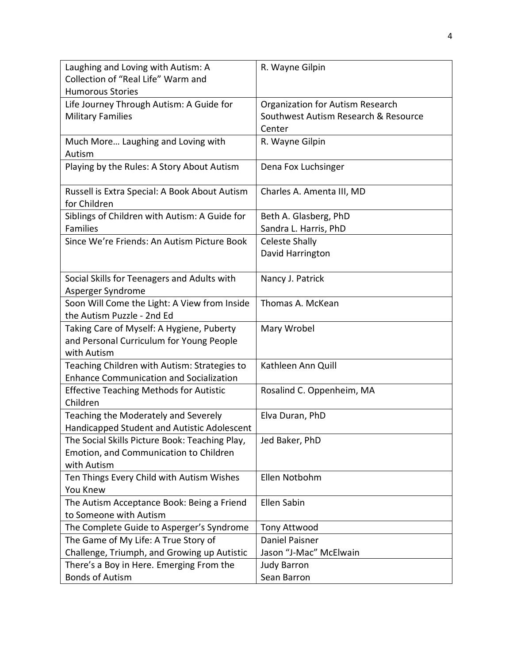| Laughing and Loving with Autism: A                                                    | R. Wayne Gilpin                      |
|---------------------------------------------------------------------------------------|--------------------------------------|
| Collection of "Real Life" Warm and                                                    |                                      |
| <b>Humorous Stories</b>                                                               |                                      |
| Life Journey Through Autism: A Guide for                                              | Organization for Autism Research     |
| <b>Military Families</b>                                                              | Southwest Autism Research & Resource |
|                                                                                       | Center                               |
| Much More Laughing and Loving with                                                    | R. Wayne Gilpin                      |
| Autism                                                                                |                                      |
| Playing by the Rules: A Story About Autism                                            | Dena Fox Luchsinger                  |
|                                                                                       |                                      |
| Russell is Extra Special: A Book About Autism                                         | Charles A. Amenta III, MD            |
| for Children                                                                          |                                      |
| Siblings of Children with Autism: A Guide for                                         | Beth A. Glasberg, PhD                |
| <b>Families</b>                                                                       | Sandra L. Harris, PhD                |
| Since We're Friends: An Autism Picture Book                                           | <b>Celeste Shally</b>                |
|                                                                                       | David Harrington                     |
|                                                                                       |                                      |
| Social Skills for Teenagers and Adults with                                           | Nancy J. Patrick                     |
| Asperger Syndrome                                                                     |                                      |
| Soon Will Come the Light: A View from Inside<br>the Autism Puzzle - 2nd Ed            | Thomas A. McKean                     |
|                                                                                       |                                      |
| Taking Care of Myself: A Hygiene, Puberty<br>and Personal Curriculum for Young People | Mary Wrobel                          |
| with Autism                                                                           |                                      |
| Teaching Children with Autism: Strategies to                                          | Kathleen Ann Quill                   |
| <b>Enhance Communication and Socialization</b>                                        |                                      |
| <b>Effective Teaching Methods for Autistic</b>                                        | Rosalind C. Oppenheim, MA            |
| Children                                                                              |                                      |
| Teaching the Moderately and Severely                                                  | Elva Duran, PhD                      |
| Handicapped Student and Autistic Adolescent                                           |                                      |
| The Social Skills Picture Book: Teaching Play,                                        | Jed Baker, PhD                       |
| Emotion, and Communication to Children                                                |                                      |
| with Autism                                                                           |                                      |
| Ten Things Every Child with Autism Wishes                                             | Ellen Notbohm                        |
| You Knew                                                                              |                                      |
| The Autism Acceptance Book: Being a Friend                                            | Ellen Sabin                          |
| to Someone with Autism                                                                |                                      |
| The Complete Guide to Asperger's Syndrome                                             | Tony Attwood                         |
| The Game of My Life: A True Story of                                                  | Daniel Paisner                       |
| Challenge, Triumph, and Growing up Autistic                                           | Jason "J-Mac" McElwain               |
| There's a Boy in Here. Emerging From the                                              | <b>Judy Barron</b>                   |
| <b>Bonds of Autism</b>                                                                | Sean Barron                          |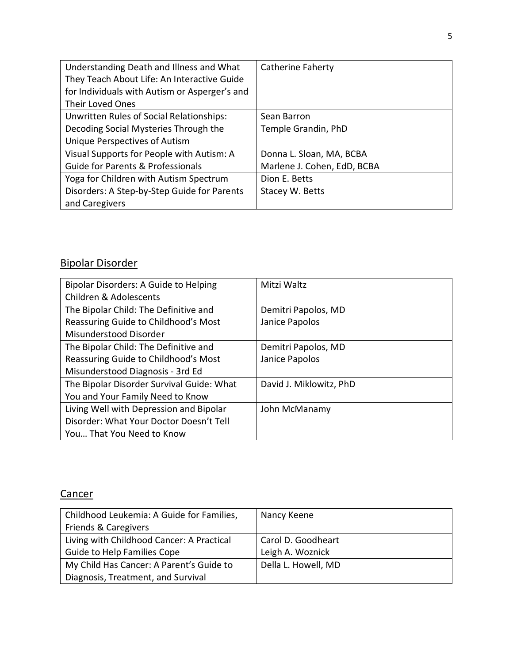| Understanding Death and Illness and What      | Catherine Faherty           |
|-----------------------------------------------|-----------------------------|
| They Teach About Life: An Interactive Guide   |                             |
| for Individuals with Autism or Asperger's and |                             |
| <b>Their Loved Ones</b>                       |                             |
| Unwritten Rules of Social Relationships:      | Sean Barron                 |
| Decoding Social Mysteries Through the         | Temple Grandin, PhD         |
| Unique Perspectives of Autism                 |                             |
| Visual Supports for People with Autism: A     | Donna L. Sloan, MA, BCBA    |
| <b>Guide for Parents &amp; Professionals</b>  | Marlene J. Cohen, EdD, BCBA |
| Yoga for Children with Autism Spectrum        | Dion E. Betts               |
| Disorders: A Step-by-Step Guide for Parents   | Stacey W. Betts             |
| and Caregivers                                |                             |

## Bipolar Disorder

| Bipolar Disorders: A Guide to Helping     | Mitzi Waltz             |
|-------------------------------------------|-------------------------|
| <b>Children &amp; Adolescents</b>         |                         |
| The Bipolar Child: The Definitive and     | Demitri Papolos, MD     |
| Reassuring Guide to Childhood's Most      | Janice Papolos          |
| Misunderstood Disorder                    |                         |
| The Bipolar Child: The Definitive and     | Demitri Papolos, MD     |
| Reassuring Guide to Childhood's Most      | Janice Papolos          |
| Misunderstood Diagnosis - 3rd Ed          |                         |
| The Bipolar Disorder Survival Guide: What | David J. Miklowitz, PhD |
| You and Your Family Need to Know          |                         |
| Living Well with Depression and Bipolar   | John McManamy           |
| Disorder: What Your Doctor Doesn't Tell   |                         |
| You That You Need to Know                 |                         |

## **Cancer**

| Childhood Leukemia: A Guide for Families, | Nancy Keene         |
|-------------------------------------------|---------------------|
| Friends & Caregivers                      |                     |
| Living with Childhood Cancer: A Practical | Carol D. Goodheart  |
| <b>Guide to Help Families Cope</b>        | Leigh A. Woznick    |
| My Child Has Cancer: A Parent's Guide to  | Della L. Howell, MD |
| Diagnosis, Treatment, and Survival        |                     |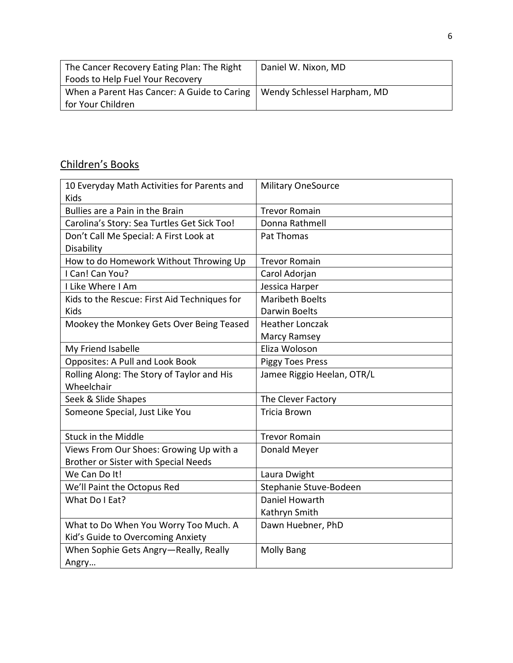| The Cancer Recovery Eating Plan: The Right  | Daniel W. Nixon, MD         |
|---------------------------------------------|-----------------------------|
| Foods to Help Fuel Your Recovery            |                             |
| When a Parent Has Cancer: A Guide to Caring | Wendy Schlessel Harpham, MD |
| for Your Children                           |                             |

# Children's Books

| 10 Everyday Math Activities for Parents and<br><b>Kids</b> | <b>Military OneSource</b>  |
|------------------------------------------------------------|----------------------------|
| Bullies are a Pain in the Brain                            | <b>Trevor Romain</b>       |
| Carolina's Story: Sea Turtles Get Sick Too!                | Donna Rathmell             |
| Don't Call Me Special: A First Look at                     | Pat Thomas                 |
| Disability                                                 |                            |
| How to do Homework Without Throwing Up                     | <b>Trevor Romain</b>       |
| I Can! Can You?                                            | Carol Adorjan              |
| I Like Where I Am                                          | Jessica Harper             |
| Kids to the Rescue: First Aid Techniques for               | <b>Maribeth Boelts</b>     |
| <b>Kids</b>                                                | <b>Darwin Boelts</b>       |
| Mookey the Monkey Gets Over Being Teased                   | <b>Heather Lonczak</b>     |
|                                                            | Marcy Ramsey               |
| My Friend Isabelle                                         | Eliza Woloson              |
| <b>Opposites: A Pull and Look Book</b>                     | <b>Piggy Toes Press</b>    |
| Rolling Along: The Story of Taylor and His<br>Wheelchair   | Jamee Riggio Heelan, OTR/L |
| Seek & Slide Shapes                                        | The Clever Factory         |
| Someone Special, Just Like You                             | <b>Tricia Brown</b>        |
| <b>Stuck in the Middle</b>                                 | <b>Trevor Romain</b>       |
| Views From Our Shoes: Growing Up with a                    | Donald Meyer               |
| Brother or Sister with Special Needs                       |                            |
| We Can Do It!                                              | Laura Dwight               |
| We'll Paint the Octopus Red                                | Stephanie Stuve-Bodeen     |
| What Do I Eat?                                             | Daniel Howarth             |
|                                                            | Kathryn Smith              |
| What to Do When You Worry Too Much. A                      | Dawn Huebner, PhD          |
| Kid's Guide to Overcoming Anxiety                          |                            |
| When Sophie Gets Angry-Really, Really                      | <b>Molly Bang</b>          |
| Angry                                                      |                            |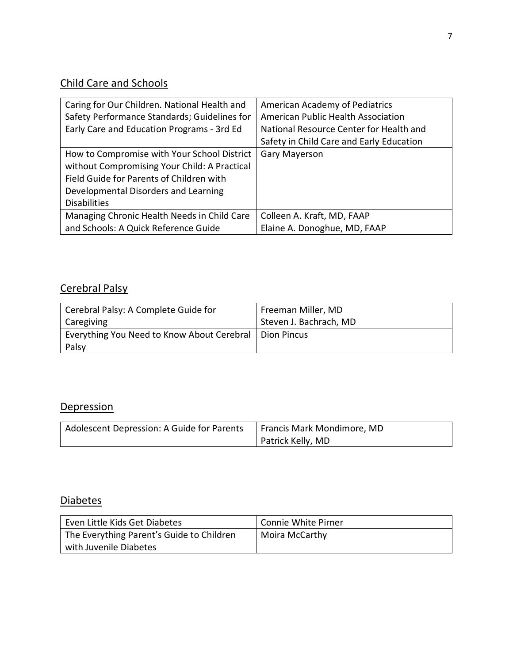## Child Care and Schools

| Caring for Our Children. National Health and<br>Safety Performance Standards; Guidelines for<br>Early Care and Education Programs - 3rd Ed                                                             | American Academy of Pediatrics<br>American Public Health Association<br>National Resource Center for Health and<br>Safety in Child Care and Early Education |
|--------------------------------------------------------------------------------------------------------------------------------------------------------------------------------------------------------|-------------------------------------------------------------------------------------------------------------------------------------------------------------|
| How to Compromise with Your School District<br>without Compromising Your Child: A Practical<br>Field Guide for Parents of Children with<br>Developmental Disorders and Learning<br><b>Disabilities</b> | Gary Mayerson                                                                                                                                               |
| Managing Chronic Health Needs in Child Care                                                                                                                                                            | Colleen A. Kraft, MD, FAAP                                                                                                                                  |
| and Schools: A Quick Reference Guide                                                                                                                                                                   | Elaine A. Donoghue, MD, FAAP                                                                                                                                |

## Cerebral Palsy

| Cerebral Palsy: A Complete Guide for                     | Freeman Miller, MD     |
|----------------------------------------------------------|------------------------|
| Caregiving                                               | Steven J. Bachrach, MD |
| Everything You Need to Know About Cerebral   Dion Pincus |                        |
| Palsy                                                    |                        |

## **Depression**

| Adolescent Depression: A Guide for Parents | Francis Mark Mondimore, MD |
|--------------------------------------------|----------------------------|
|                                            | Patrick Kelly, MD          |

## **Diabetes**

| Even Little Kids Get Diabetes             | Connie White Pirner |
|-------------------------------------------|---------------------|
| The Everything Parent's Guide to Children | Moira McCarthy      |
| with Juvenile Diabetes                    |                     |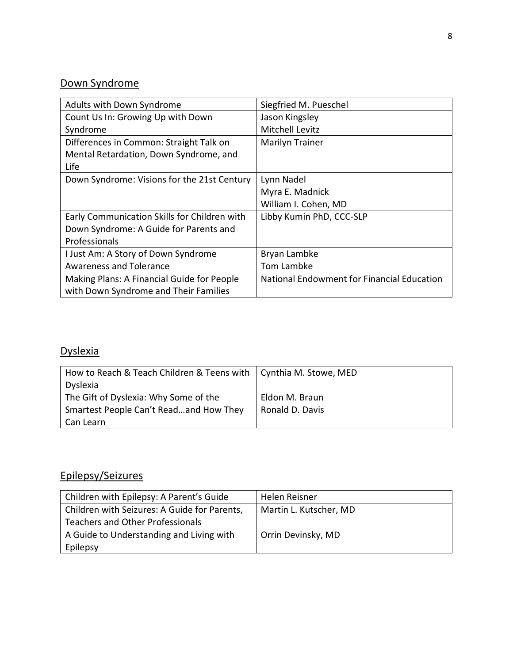# Down Syndrome

| Adults with Down Syndrome                    | Siegfried M. Pueschel                      |
|----------------------------------------------|--------------------------------------------|
| Count Us In: Growing Up with Down            | Jason Kingsley                             |
| Syndrome                                     | <b>Mitchell Levitz</b>                     |
| Differences in Common: Straight Talk on      | Marilyn Trainer                            |
| Mental Retardation, Down Syndrome, and       |                                            |
| Life                                         |                                            |
| Down Syndrome: Visions for the 21st Century  | Lynn Nadel                                 |
|                                              | Myra E. Madnick                            |
|                                              | William I. Cohen, MD                       |
| Early Communication Skills for Children with | Libby Kumin PhD, CCC-SLP                   |
| Down Syndrome: A Guide for Parents and       |                                            |
| Professionals                                |                                            |
| I Just Am: A Story of Down Syndrome          | Bryan Lambke                               |
| <b>Awareness and Tolerance</b>               | <b>Tom Lambke</b>                          |
| Making Plans: A Financial Guide for People   | National Endowment for Financial Education |
| with Down Syndrome and Their Families        |                                            |

## **Dyslexia**

| How to Reach & Teach Children & Teens with   Cynthia M. Stowe, MED |                 |
|--------------------------------------------------------------------|-----------------|
| <b>Dyslexia</b>                                                    |                 |
| The Gift of Dyslexia: Why Some of the                              | Eldon M. Braun  |
| Smartest People Can't Readand How They                             | Ronald D. Davis |
| Can Learn                                                          |                 |

## Epilepsy/Seizures

| Children with Epilepsy: A Parent's Guide     | Helen Reisner          |
|----------------------------------------------|------------------------|
| Children with Seizures: A Guide for Parents, | Martin L. Kutscher, MD |
| Teachers and Other Professionals             |                        |
| A Guide to Understanding and Living with     | Orrin Devinsky, MD     |
| Epilepsy                                     |                        |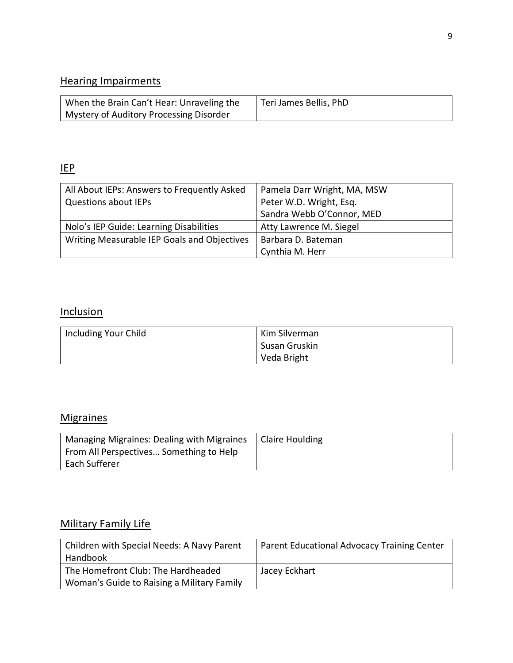#### Hearing Impairments

| When the Brain Can't Hear: Unraveling the | Teri James Bellis, PhD |
|-------------------------------------------|------------------------|
| Mystery of Auditory Processing Disorder   |                        |

## IEP

| All About IEPs: Answers to Frequently Asked | Pamela Darr Wright, MA, MSW |
|---------------------------------------------|-----------------------------|
| <b>Questions about IEPs</b>                 | Peter W.D. Wright, Esq.     |
|                                             | Sandra Webb O'Connor, MED   |
| Nolo's IEP Guide: Learning Disabilities     | Atty Lawrence M. Siegel     |
| Writing Measurable IEP Goals and Objectives | Barbara D. Bateman          |
|                                             | Cynthia M. Herr             |

#### **Inclusion**

| Including Your Child | Kim Silverman |
|----------------------|---------------|
|                      | Susan Gruskin |
|                      | Veda Bright   |

## **Migraines**

| Managing Migraines: Dealing with Migraines | Claire Houlding |
|--------------------------------------------|-----------------|
| From All Perspectives Something to Help    |                 |
| Each Sufferer                              |                 |

## Military Family Life

| Children with Special Needs: A Navy Parent | Parent Educational Advocacy Training Center |
|--------------------------------------------|---------------------------------------------|
| Handbook                                   |                                             |
| The Homefront Club: The Hardheaded         | Jacey Eckhart                               |
| Woman's Guide to Raising a Military Family |                                             |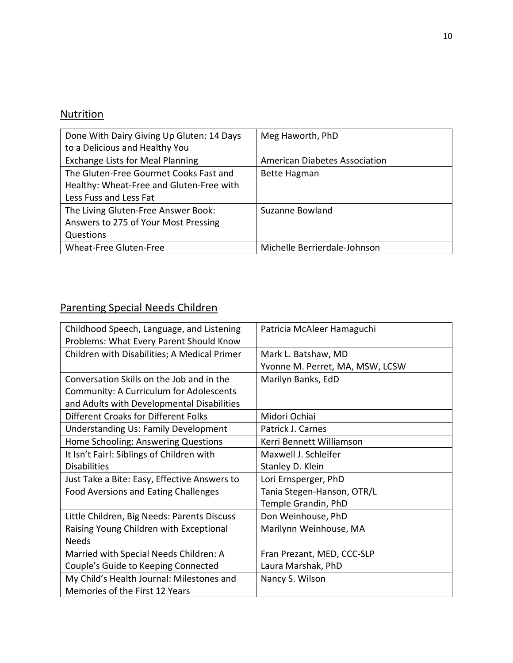## **Nutrition**

| Done With Dairy Giving Up Gluten: 14 Days | Meg Haworth, PhD                     |
|-------------------------------------------|--------------------------------------|
| to a Delicious and Healthy You            |                                      |
| <b>Exchange Lists for Meal Planning</b>   | <b>American Diabetes Association</b> |
| The Gluten-Free Gourmet Cooks Fast and    | <b>Bette Hagman</b>                  |
| Healthy: Wheat-Free and Gluten-Free with  |                                      |
| Less Fuss and Less Fat                    |                                      |
| The Living Gluten-Free Answer Book:       | Suzanne Bowland                      |
| Answers to 275 of Your Most Pressing      |                                      |
| Questions                                 |                                      |
| Wheat-Free Gluten-Free                    | Michelle Berrierdale-Johnson         |

## Parenting Special Needs Children

| Childhood Speech, Language, and Listening    | Patricia McAleer Hamaguchi      |
|----------------------------------------------|---------------------------------|
| Problems: What Every Parent Should Know      |                                 |
| Children with Disabilities; A Medical Primer | Mark L. Batshaw, MD             |
|                                              | Yvonne M. Perret, MA, MSW, LCSW |
| Conversation Skills on the Job and in the    | Marilyn Banks, EdD              |
| Community: A Curriculum for Adolescents      |                                 |
| and Adults with Developmental Disabilities   |                                 |
| <b>Different Croaks for Different Folks</b>  | Midori Ochiai                   |
| <b>Understanding Us: Family Development</b>  | Patrick J. Carnes               |
| Home Schooling: Answering Questions          | Kerri Bennett Williamson        |
| It Isn't Fair!: Siblings of Children with    | Maxwell J. Schleifer            |
| <b>Disabilities</b>                          | Stanley D. Klein                |
| Just Take a Bite: Easy, Effective Answers to | Lori Ernsperger, PhD            |
| <b>Food Aversions and Eating Challenges</b>  | Tania Stegen-Hanson, OTR/L      |
|                                              | Temple Grandin, PhD             |
| Little Children, Big Needs: Parents Discuss  | Don Weinhouse, PhD              |
| Raising Young Children with Exceptional      | Marilynn Weinhouse, MA          |
| <b>Needs</b>                                 |                                 |
| Married with Special Needs Children: A       | Fran Prezant, MED, CCC-SLP      |
| Couple's Guide to Keeping Connected          | Laura Marshak, PhD              |
| My Child's Health Journal: Milestones and    | Nancy S. Wilson                 |
| Memories of the First 12 Years               |                                 |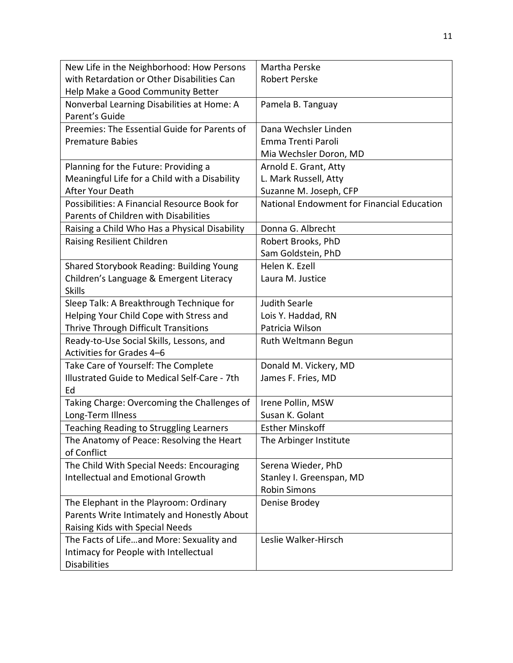| New Life in the Neighborhood: How Persons      | Martha Perske                              |
|------------------------------------------------|--------------------------------------------|
| with Retardation or Other Disabilities Can     | <b>Robert Perske</b>                       |
| Help Make a Good Community Better              |                                            |
| Nonverbal Learning Disabilities at Home: A     | Pamela B. Tanguay                          |
| Parent's Guide                                 |                                            |
| Preemies: The Essential Guide for Parents of   | Dana Wechsler Linden                       |
| <b>Premature Babies</b>                        | Emma Trenti Paroli                         |
|                                                | Mia Wechsler Doron, MD                     |
| Planning for the Future: Providing a           | Arnold E. Grant, Atty                      |
| Meaningful Life for a Child with a Disability  | L. Mark Russell, Atty                      |
| After Your Death                               | Suzanne M. Joseph, CFP                     |
| Possibilities: A Financial Resource Book for   | National Endowment for Financial Education |
| <b>Parents of Children with Disabilities</b>   |                                            |
| Raising a Child Who Has a Physical Disability  | Donna G. Albrecht                          |
| Raising Resilient Children                     | Robert Brooks, PhD                         |
|                                                | Sam Goldstein, PhD                         |
| Shared Storybook Reading: Building Young       | Helen K. Ezell                             |
| Children's Language & Emergent Literacy        | Laura M. Justice                           |
| <b>Skills</b>                                  |                                            |
| Sleep Talk: A Breakthrough Technique for       | <b>Judith Searle</b>                       |
| Helping Your Child Cope with Stress and        | Lois Y. Haddad, RN                         |
| Thrive Through Difficult Transitions           | Patricia Wilson                            |
| Ready-to-Use Social Skills, Lessons, and       | Ruth Weltmann Begun                        |
| Activities for Grades 4-6                      |                                            |
| Take Care of Yourself: The Complete            | Donald M. Vickery, MD                      |
| Illustrated Guide to Medical Self-Care - 7th   | James F. Fries, MD                         |
| Ed                                             |                                            |
| Taking Charge: Overcoming the Challenges of    | Irene Pollin, MSW                          |
| Long-Term Illness                              | Susan K. Golant                            |
| <b>Teaching Reading to Struggling Learners</b> | <b>Esther Minskoff</b>                     |
| The Anatomy of Peace: Resolving the Heart      | The Arbinger Institute                     |
| of Conflict                                    |                                            |
| The Child With Special Needs: Encouraging      | Serena Wieder, PhD                         |
| <b>Intellectual and Emotional Growth</b>       | Stanley I. Greenspan, MD                   |
|                                                | <b>Robin Simons</b>                        |
| The Elephant in the Playroom: Ordinary         | Denise Brodey                              |
| Parents Write Intimately and Honestly About    |                                            |
| Raising Kids with Special Needs                |                                            |
| The Facts of Lifeand More: Sexuality and       | Leslie Walker-Hirsch                       |
| Intimacy for People with Intellectual          |                                            |
| <b>Disabilities</b>                            |                                            |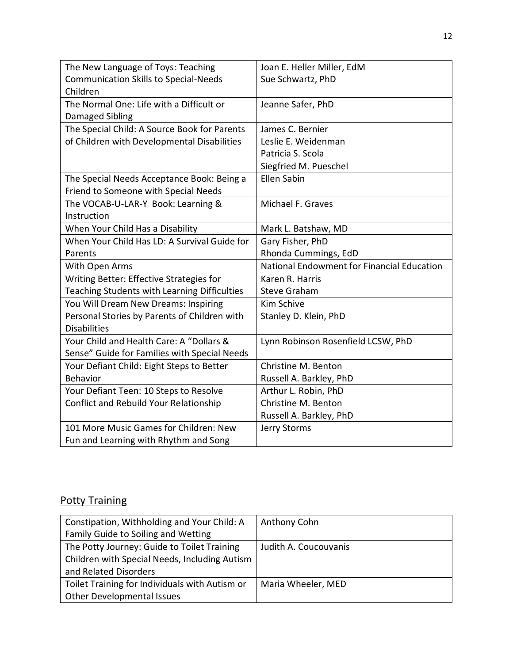| The New Language of Toys: Teaching           | Joan E. Heller Miller, EdM                 |
|----------------------------------------------|--------------------------------------------|
| <b>Communication Skills to Special-Needs</b> | Sue Schwartz, PhD                          |
| Children                                     |                                            |
| The Normal One: Life with a Difficult or     | Jeanne Safer, PhD                          |
| Damaged Sibling                              |                                            |
| The Special Child: A Source Book for Parents | James C. Bernier                           |
| of Children with Developmental Disabilities  | Leslie E. Weidenman                        |
|                                              | Patricia S. Scola                          |
|                                              | Siegfried M. Pueschel                      |
| The Special Needs Acceptance Book: Being a   | <b>Ellen Sabin</b>                         |
| Friend to Someone with Special Needs         |                                            |
| The VOCAB-U-LAR-Y Book: Learning &           | Michael F. Graves                          |
| Instruction                                  |                                            |
| When Your Child Has a Disability             | Mark L. Batshaw, MD                        |
| When Your Child Has LD: A Survival Guide for | Gary Fisher, PhD                           |
| Parents                                      | Rhonda Cummings, EdD                       |
| With Open Arms                               | National Endowment for Financial Education |
| Writing Better: Effective Strategies for     | Karen R. Harris                            |
| Teaching Students with Learning Difficulties | <b>Steve Graham</b>                        |
| You Will Dream New Dreams: Inspiring         | Kim Schive                                 |
| Personal Stories by Parents of Children with | Stanley D. Klein, PhD                      |
| <b>Disabilities</b>                          |                                            |
| Your Child and Health Care: A "Dollars &     | Lynn Robinson Rosenfield LCSW, PhD         |
| Sense" Guide for Families with Special Needs |                                            |
| Your Defiant Child: Eight Steps to Better    | Christine M. Benton                        |
| <b>Behavior</b>                              | Russell A. Barkley, PhD                    |
| Your Defiant Teen: 10 Steps to Resolve       | Arthur L. Robin, PhD                       |
| Conflict and Rebuild Your Relationship       | Christine M. Benton                        |
|                                              | Russell A. Barkley, PhD                    |
| 101 More Music Games for Children: New       | Jerry Storms                               |
| Fun and Learning with Rhythm and Song        |                                            |

## **Potty Training**

| Constipation, Withholding and Your Child: A    | Anthony Cohn          |
|------------------------------------------------|-----------------------|
| Family Guide to Soiling and Wetting            |                       |
| The Potty Journey: Guide to Toilet Training    | Judith A. Coucouvanis |
| Children with Special Needs, Including Autism  |                       |
| and Related Disorders                          |                       |
| Toilet Training for Individuals with Autism or | Maria Wheeler, MED    |
| Other Developmental Issues                     |                       |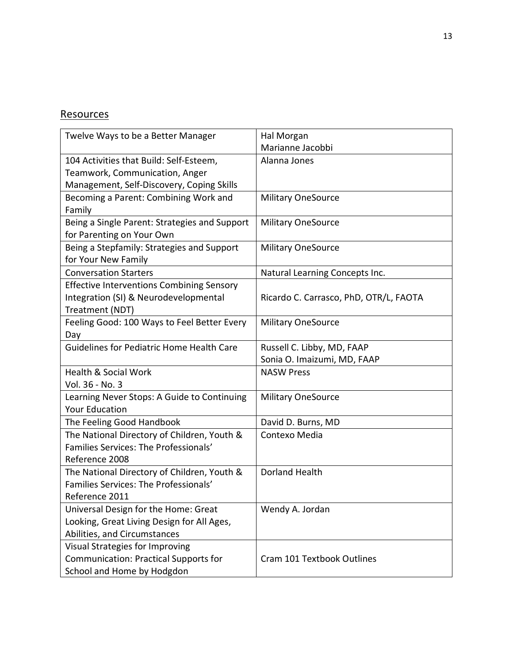#### **Resources**

| Twelve Ways to be a Better Manager               | Hal Morgan                             |
|--------------------------------------------------|----------------------------------------|
|                                                  | Marianne Jacobbi                       |
| 104 Activities that Build: Self-Esteem,          | Alanna Jones                           |
| Teamwork, Communication, Anger                   |                                        |
| Management, Self-Discovery, Coping Skills        |                                        |
| Becoming a Parent: Combining Work and            | <b>Military OneSource</b>              |
| Family                                           |                                        |
| Being a Single Parent: Strategies and Support    | <b>Military OneSource</b>              |
| for Parenting on Your Own                        |                                        |
| Being a Stepfamily: Strategies and Support       | <b>Military OneSource</b>              |
| for Your New Family                              |                                        |
| <b>Conversation Starters</b>                     | Natural Learning Concepts Inc.         |
| <b>Effective Interventions Combining Sensory</b> |                                        |
| Integration (SI) & Neurodevelopmental            | Ricardo C. Carrasco, PhD, OTR/L, FAOTA |
| Treatment (NDT)                                  |                                        |
| Feeling Good: 100 Ways to Feel Better Every      | <b>Military OneSource</b>              |
| Day                                              |                                        |
| Guidelines for Pediatric Home Health Care        | Russell C. Libby, MD, FAAP             |
|                                                  | Sonia O. Imaizumi, MD, FAAP            |
| <b>Health &amp; Social Work</b>                  | <b>NASW Press</b>                      |
| Vol. 36 - No. 3                                  |                                        |
| Learning Never Stops: A Guide to Continuing      | <b>Military OneSource</b>              |
| <b>Your Education</b>                            |                                        |
| The Feeling Good Handbook                        | David D. Burns, MD                     |
| The National Directory of Children, Youth &      | Contexo Media                          |
| Families Services: The Professionals'            |                                        |
| Reference 2008                                   |                                        |
| The National Directory of Children, Youth &      | <b>Dorland Health</b>                  |
| Families Services: The Professionals'            |                                        |
| Reference 2011                                   |                                        |
| Universal Design for the Home: Great             | Wendy A. Jordan                        |
| Looking, Great Living Design for All Ages,       |                                        |
| Abilities, and Circumstances                     |                                        |
| Visual Strategies for Improving                  |                                        |
| <b>Communication: Practical Supports for</b>     | Cram 101 Textbook Outlines             |
| School and Home by Hodgdon                       |                                        |